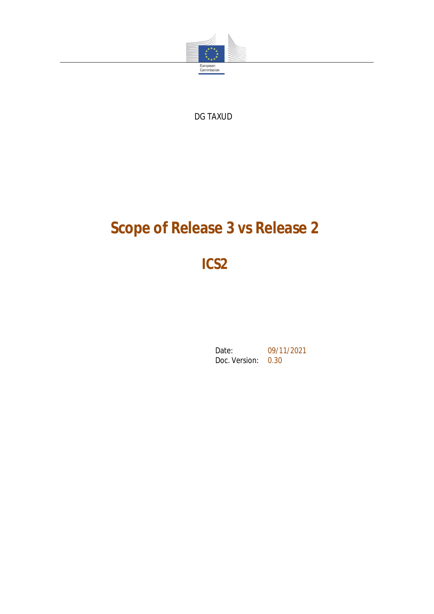

DG TAXUD

# **Scope of Release 3 vs Release 2**

**ICS2**

Date: 09/11/2021 Doc. Version: 0.30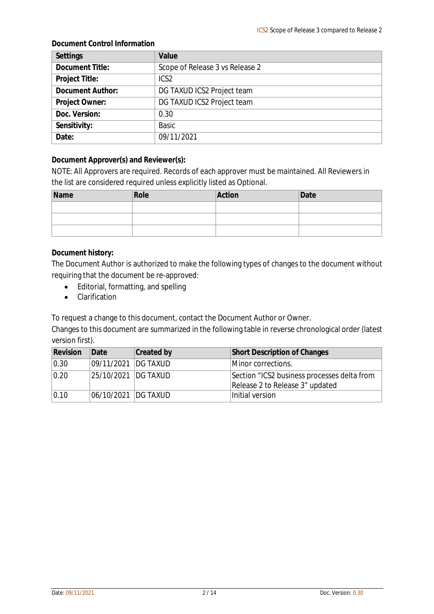#### **Document Control Information**

| Settings                | Value                           |
|-------------------------|---------------------------------|
| Document Title:         | Scope of Release 3 vs Release 2 |
| Project Title:          | ICS <sub>2</sub>                |
| <b>Document Author:</b> | DG TAXUD ICS2 Project team      |
| Project Owner:          | DG TAXUD ICS2 Project team      |
| Doc. Version:           | 0.30                            |
| Sensitivity:            | <b>Basic</b>                    |
| Date:                   | 09/11/2021                      |

**Document Approver(s) and Reviewer(s):**

NOTE: All Approvers are required. Records of each approver must be maintained. All Reviewers in the list are considered required unless explicitly listed as Optional.

| Name | Role | Action | Date |
|------|------|--------|------|
|      |      |        |      |
|      |      |        |      |
|      |      |        |      |

**Document history:**

The Document Author is authorized to make the following types of changes to the document without requiring that the document be re-approved:

- Editorial, formatting, and spelling
- Clarification

To request a change to this document, contact the Document Author or Owner.

Changes to this document are summarized in the following table in reverse chronological order (latest version first).

| Revision       | IDate                 | Created by | Short Description of Changes                |  |
|----------------|-----------------------|------------|---------------------------------------------|--|
| $ 0.30\rangle$ | 09/11/2021   DG TAXUD |            | Minor corrections.                          |  |
| $ 0.20\rangle$ | 25/10/2021   DG TAXUD |            | Section "ICS2 business processes delta from |  |
|                |                       |            | Release 2 to Release 3" updated             |  |
| 0.10           | 06/10/2021  DG TAXUD  |            | Initial version                             |  |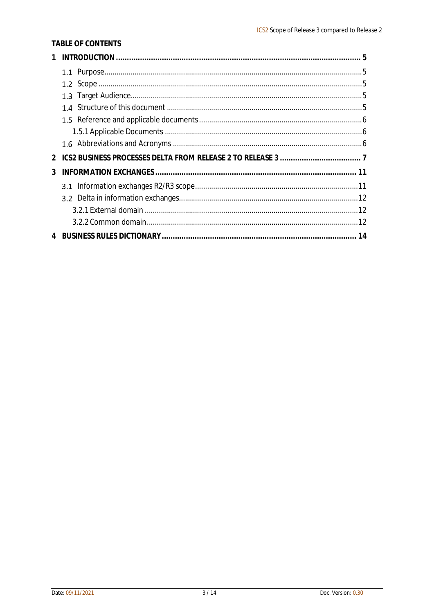#### TABLE OF CONTENTS

| 3 |  |
|---|--|
|   |  |
|   |  |
|   |  |
|   |  |
|   |  |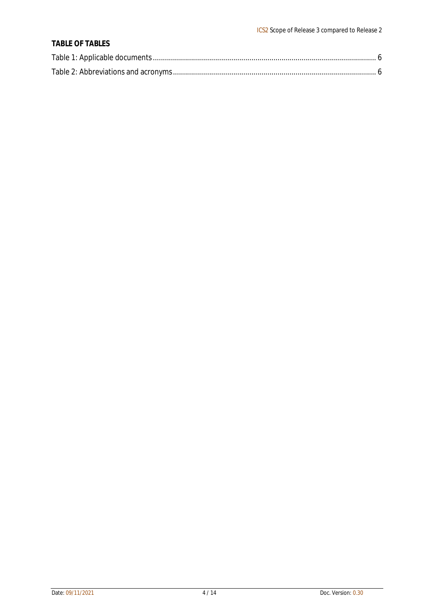#### **TABLE OF TABLES**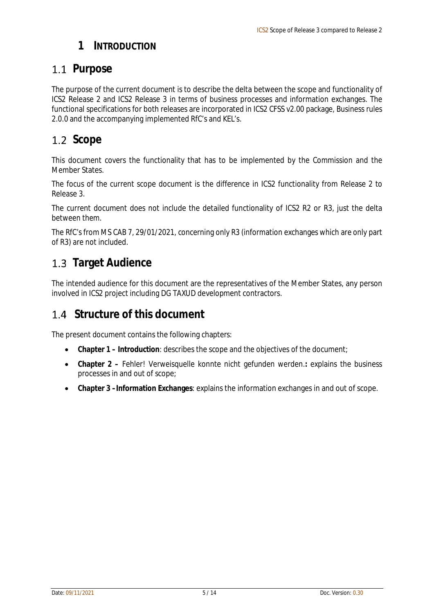#### **1 INTRODUCTION**

#### 1.1 Purpose

The purpose of the current document is to describe the delta between the scope and functionality of ICS2 Release 2 and ICS2 Release 3 in terms of business processes and information exchanges. The functional specifications for both releases are incorporated in ICS2 CFSS v2.00 package, Business rules 2.0.0 and the accompanying implemented RfC's and KEL's.

## 1.2 Scope

This document covers the functionality that has to be implemented by the Commission and the Member States.

The focus of the current scope document is the difference in ICS2 functionality from Release 2 to Release 3.

The current document does not include the detailed functionality of ICS2 R2 or R3, just the delta between them.

The RfC's from MS CAB 7, 29/01/2021, concerning only R3 (information exchanges which are only part of R3) are not included.

## **Target Audience**

The intended audience for this document are the representatives of the Member States, any person involved in ICS2 project including DG TAXUD development contractors.

### **Structure of this document**

The present document contains the following chapters:

- **Chapter 1 – Introduction**: describes the scope and the objectives of the document;
- **Chapter 2 –** Fehler! Verweisquelle konnte nicht gefunden werden.**:** explains the business processes in and out of scope;
- **Chapter 3 –Information Exchanges**: explains the information exchanges in and out of scope.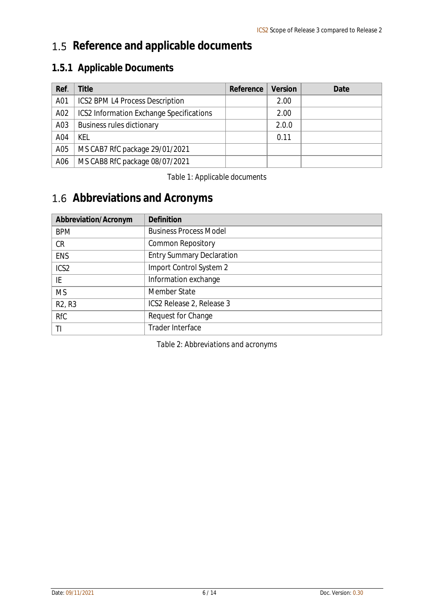# 1.5 Reference and applicable documents

## **1.5.1 Applicable Documents**

| Ref. | Title                                           | Reference | Version | Date |
|------|-------------------------------------------------|-----------|---------|------|
| A01  | <b>ICS2 BPM L4 Process Description</b>          |           | 2.00    |      |
| A02  | <b>ICS2 Information Exchange Specifications</b> |           | 2.00    |      |
| A03  | <b>Business rules dictionary</b>                |           | 2.0.0   |      |
| A04  | KEL                                             |           | 0.11    |      |
| A05  | MS CAB7 RfC package 29/01/2021                  |           |         |      |
| A06  | MS CAB8 RfC package 08/07/2021                  |           |         |      |

#### *Table 1: Applicable documents*

# **Abbreviations and Acronyms**

| Abbreviation/Acronym            | Definition                       |
|---------------------------------|----------------------------------|
| <b>BPM</b>                      | <b>Business Process Model</b>    |
| <b>CR</b>                       | <b>Common Repository</b>         |
| <b>ENS</b>                      | <b>Entry Summary Declaration</b> |
| ICS <sub>2</sub>                | Import Control System 2          |
| IE                              | Information exchange             |
| <b>MS</b>                       | Member State                     |
| R <sub>2</sub> , R <sub>3</sub> | ICS2 Release 2, Release 3        |
| <b>RfC</b>                      | Request for Change               |
| TI                              | Trader Interface                 |

*Table 2: Abbreviations and acronyms*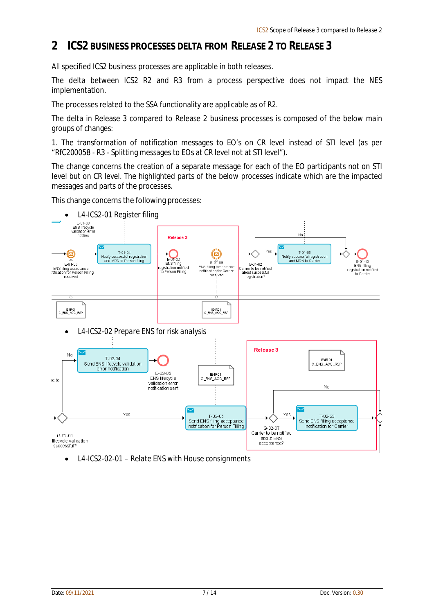#### **2 ICS2 BUSINESS PROCESSES DELTA FROM RELEASE 2 TO RELEASE 3**

All specified ICS2 business processes are applicable in both releases.

The delta between ICS2 R2 and R3 from a process perspective does not impact the NES implementation.

The processes related to the SSA functionality are applicable as of R2.

The delta in Release 3 compared to Release 2 business processes is composed of the below main groups of changes:

1. The transformation of notification messages to EO's on CR level instead of STI level (as per "RfC200058 - R3 - Splitting messages to EOs at CR level not at STI level").

The change concerns the creation of a separate message for each of the EO participants not on STI level but on CR level. The highlighted parts of the below processes indicate which are the impacted messages and parts of the processes.

This change concerns the following processes:



*L4-ICS2-02-01 – Relate ENS with House consignments*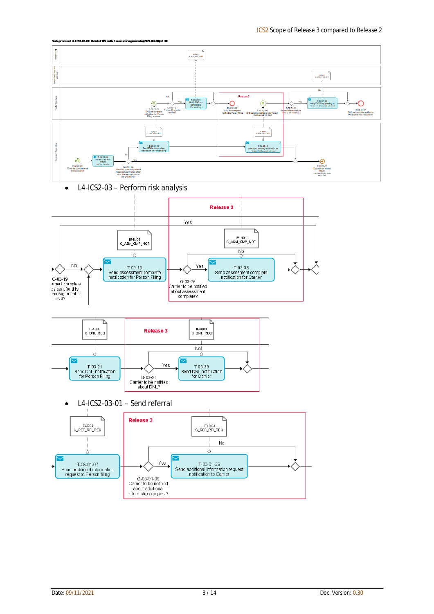







*L4-ICS2-03-01 – Send referral*

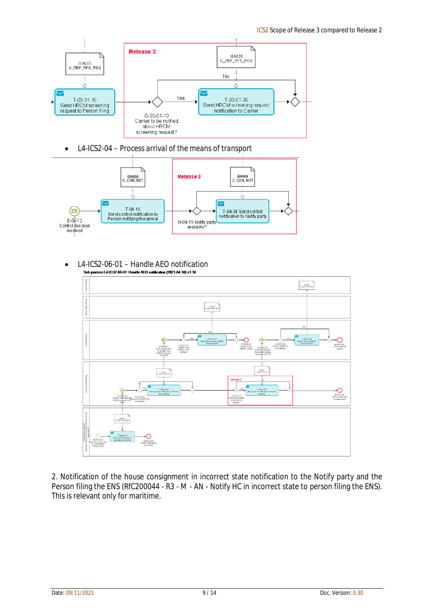

*L4-ICS2-04 – Process arrival of the means of transport*



*L4-ICS2-06-01 – Handle AEO notification*



2. Notification of the house consignment in incorrect state notification to the Notify party and the Person filing the ENS (RfC200044 - R3 - M - AN - Notify HC in incorrect state to person filing the ENS). This is relevant only for maritime.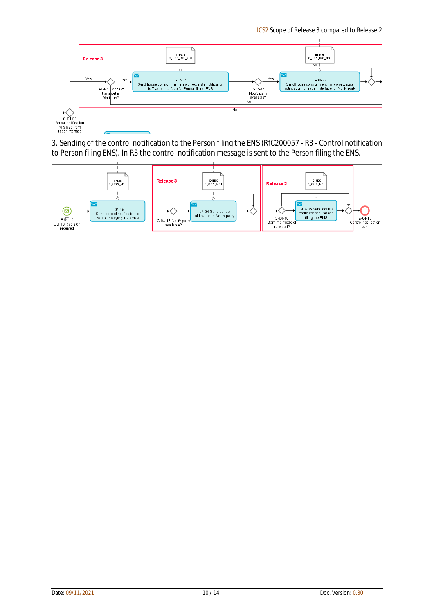ICS2 Scope of Release 3 compared to Release 2



3. Sending of the control notification to the Person filing the ENS (RfC200057 - R3 - Control notification to Person filing ENS). In R3 the control notification message is sent to the Person filing the ENS.

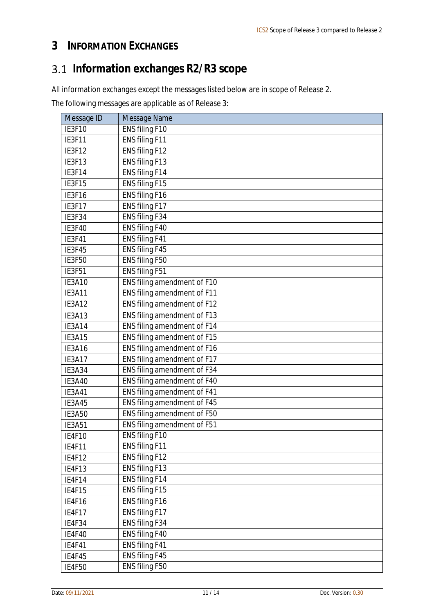## **3 INFORMATION EXCHANGES**

# **Information exchanges R2/R3 scope**

All information exchanges except the messages listed below are in scope of Release 2.

The following messages are applicable as of Release 3:

| Message ID    | Message Name                |
|---------------|-----------------------------|
| IE3F10        | ENS filing F10              |
| IE3F11        | ENS filing F11              |
| IE3F12        | ENS filing F12              |
| IE3F13        | ENS filing F13              |
| IE3F14        | ENS filing F14              |
| IE3F15        | ENS filing F15              |
| IE3F16        | ENS filing F16              |
| IE3F17        | ENS filing F17              |
| IE3F34        | ENS filing F34              |
| IE3F40        | ENS filing F40              |
| <b>IE3F41</b> | ENS filing F41              |
| IE3F45        | ENS filing F45              |
| IE3F50        | ENS filing F50              |
| <b>IE3F51</b> | ENS filing F51              |
| IE3A10        | ENS filing amendment of F10 |
| IE3A11        | ENS filing amendment of F11 |
| IE3A12        | ENS filing amendment of F12 |
| IE3A13        | ENS filing amendment of F13 |
| IE3A14        | ENS filing amendment of F14 |
| IE3A15        | ENS filing amendment of F15 |
| IE3A16        | ENS filing amendment of F16 |
| <b>IE3A17</b> | ENS filing amendment of F17 |
| IE3A34        | ENS filing amendment of F34 |
| <b>IE3A40</b> | ENS filing amendment of F40 |
| <b>IE3A41</b> | ENS filing amendment of F41 |
| IE3A45        | ENS filing amendment of F45 |
| <b>IE3A50</b> | ENS filing amendment of F50 |
| <b>IE3A51</b> | ENS filing amendment of F51 |
| <b>IE4F10</b> | ENS filing F10              |
| IE4F11        | ENS filing F11              |
| IE4F12        | ENS filing F12              |
| IE4F13        | ENS filing F13              |
| IE4F14        | ENS filing F14              |
| <b>IE4F15</b> | ENS filing F15              |
| IE4F16        | ENS filing F16              |
| <b>IE4F17</b> | ENS filing F17              |
| IE4F34        | ENS filing F34              |
| <b>IE4F40</b> | ENS filing F40              |
| <b>IE4F41</b> | ENS filing F41              |
| IE4F45        | ENS filing F45              |
| <b>IE4F50</b> | ENS filing F50              |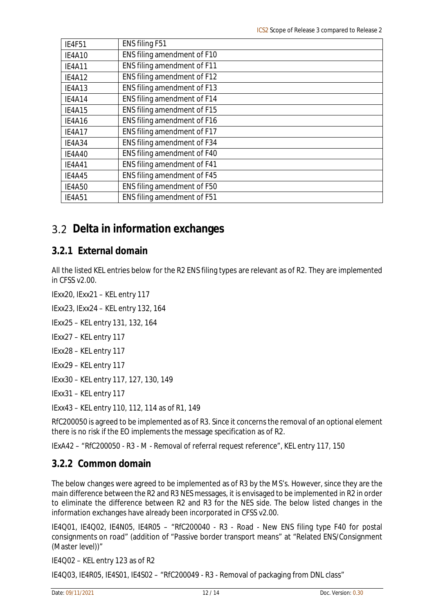| <b>IE4F51</b> | ENS filing F51              |
|---------------|-----------------------------|
| <b>IE4A10</b> | ENS filing amendment of F10 |
| <b>IE4A11</b> | ENS filing amendment of F11 |
| <b>IE4A12</b> | ENS filing amendment of F12 |
| IE4A13        | ENS filing amendment of F13 |
| IE4A14        | ENS filing amendment of F14 |
| <b>IE4A15</b> | ENS filing amendment of F15 |
| IE4A16        | ENS filing amendment of F16 |
| <b>IE4A17</b> | ENS filing amendment of F17 |
| IE4A34        | ENS filing amendment of F34 |
| IE4A40        | ENS filing amendment of F40 |
| <b>IE4A41</b> | ENS filing amendment of F41 |
| IE4A45        | ENS filing amendment of F45 |
| <b>IE4A50</b> | ENS filing amendment of F50 |
| <b>IE4A51</b> | ENS filing amendment of F51 |

## **Delta in information exchanges**

#### **3.2.1 External domain**

All the listed KEL entries below for the R2 ENS filing types are relevant as of R2. They are implemented in CFSS v2.00.

IExx20, IExx21 – KEL entry 117

IExx23, IExx24 – KEL entry 132, 164

IExx25 – KEL entry 131, 132, 164

IExx27 – KEL entry 117

IExx28 – KEL entry 117

IExx29 – KEL entry 117

IExx30 – KEL entry 117, 127, 130, 149

IExx31 – KEL entry 117

IExx43 – KEL entry 110, 112, 114 as of R1, 149

RfC200050 is agreed to be implemented as of R3. Since it concerns the removal of an optional element there is no risk if the EO implements the message specification as of R2.

IExA42 – "RfC200050 - R3 - M - Removal of referral request reference", KEL entry 117, 150

#### **3.2.2 Common domain**

The below changes were agreed to be implemented as of R3 by the MS's. However, since they are the main difference between the R2 and R3 NES messages, it is envisaged to be implemented in R2 in order to eliminate the difference between R2 and R3 for the NES side. The below listed changes in the information exchanges have already been incorporated in CFSS v2.00.

IE4Q01, IE4Q02, IE4N05, IE4R05 – "RfC200040 - R3 - Road - New ENS filing type F40 for postal consignments on road" (addition of "Passive border transport means" at "Related ENS/Consignment (Master level))"

IE4Q02 – KEL entry 123 as of R2

IE4Q03, IE4R05, IE4S01, IE4S02 – "RfC200049 - R3 - Removal of packaging from DNL class"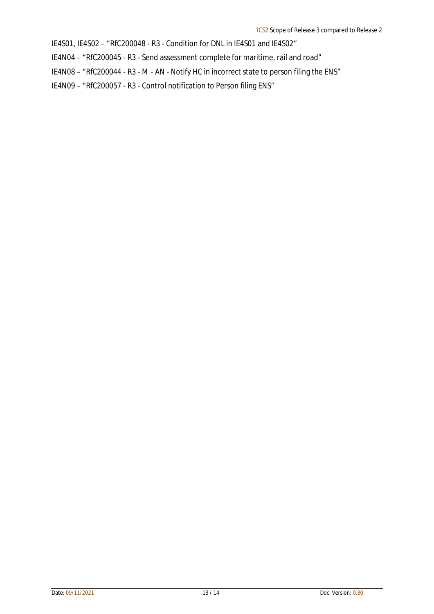IE4S01, IE4S02 – "RfC200048 - R3 - Condition for DNL in IE4S01 and IE4S02"

IE4N04 – "RfC200045 - R3 - Send assessment complete for maritime, rail and road"

IE4N08 – "RfC200044 - R3 - M - AN - Notify HC in incorrect state to person filing the ENS"

IE4N09 – "RfC200057 - R3 - Control notification to Person filing ENS"